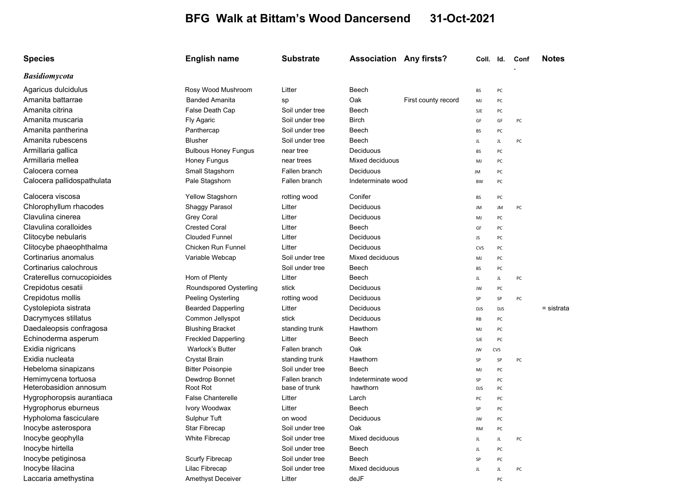## BFG Walk at Bittam's Wood Dancersend 31-Oct-2021

| <b>Species</b>             | English name                | <b>Substrate</b> | <b>Association Any firsts?</b> |                     | Coll. Id.  |            | Conf | <b>Notes</b> |
|----------------------------|-----------------------------|------------------|--------------------------------|---------------------|------------|------------|------|--------------|
| <b>Basidiomycota</b>       |                             |                  |                                |                     |            |            |      |              |
| Agaricus dulcidulus        | Rosy Wood Mushroom          | Litter           | Beech                          |                     | BS         | PC         |      |              |
| Amanita battarrae          | <b>Banded Amanita</b>       | sp               | Oak                            | First county record | MJ         | PC         |      |              |
| Amanita citrina            | False Death Cap             | Soil under tree  | Beech                          |                     | SJE        | PC         |      |              |
| Amanita muscaria           | <b>Fly Agaric</b>           | Soil under tree  | <b>Birch</b>                   |                     | GF         | GF         | PC   |              |
| Amanita pantherina         | Panthercap                  | Soil under tree  | Beech                          |                     | BS         | PC         |      |              |
| Amanita rubescens          | <b>Blusher</b>              | Soil under tree  | Beech                          |                     | JL.        | JL.        | PC   |              |
| Armillaria gallica         | <b>Bulbous Honey Fungus</b> | near tree        | Deciduous                      |                     | BS         | PC         |      |              |
| Armillaria mellea          | Honey Fungus                | near trees       | Mixed deciduous                |                     | MJ         | PC         |      |              |
| Calocera cornea            | Small Stagshorn             | Fallen branch    | Deciduous                      |                     | JM         | PC         |      |              |
| Calocera pallidospathulata | Pale Stagshorn              | Fallen branch    | Indeterminate wood             |                     | <b>BW</b>  | PC         |      |              |
| Calocera viscosa           | <b>Yellow Stagshorn</b>     | rotting wood     | Conifer                        |                     | BS         | PC         |      |              |
| Chlorophyllum rhacodes     | Shaggy Parasol              | Litter           | Deciduous                      |                     | JM         | JM         | PC   |              |
| Clavulina cinerea          | Grey Coral                  | Litter           | Deciduous                      |                     | MJ         | PC         |      |              |
| Clavulina coralloides      | <b>Crested Coral</b>        | Litter           | Beech                          |                     | GF         | PC         |      |              |
| Clitocybe nebularis        | <b>Clouded Funnel</b>       | Litter           | Deciduous                      |                     | JS         | PC         |      |              |
| Clitocybe phaeophthalma    | Chicken Run Funnel          | Litter           | Deciduous                      |                     | <b>CVS</b> | PC         |      |              |
| Cortinarius anomalus       | Variable Webcap             | Soil under tree  | Mixed deciduous                |                     | MJ         | PC         |      |              |
| Cortinarius calochrous     |                             | Soil under tree  | Beech                          |                     | <b>BS</b>  | PC         |      |              |
| Craterellus cornucopioides | Horn of Plenty              | Litter           | Beech                          |                     | JL.        | JL.        | PC   |              |
| Crepidotus cesatii         | Roundspored Oysterling      | stick            | Deciduous                      |                     | JW         | PC         |      |              |
| Crepidotus mollis          | Peeling Oysterling          | rotting wood     | Deciduous                      |                     | SP         | SP         | PC   |              |
| Cystolepiota sistrata      | <b>Bearded Dapperling</b>   | Litter           | Deciduous                      |                     | <b>DJS</b> | <b>DJS</b> |      | = sistrata   |
| Dacrymyces stillatus       | Common Jellyspot            | stick            | Deciduous                      |                     | RB         | PC         |      |              |
| Daedaleopsis confragosa    | <b>Blushing Bracket</b>     | standing trunk   | Hawthorn                       |                     | MJ         | PC         |      |              |
| Echinoderma asperum        | <b>Freckled Dapperling</b>  | Litter           | Beech                          |                     | SJE        | PC         |      |              |
| Exidia nigricans           | <b>Warlock's Butter</b>     | Fallen branch    | Oak                            |                     | JW         | CVS        |      |              |
| Exidia nucleata            | Crystal Brain               | standing trunk   | Hawthorn                       |                     | SP         | SP         | PC   |              |
| Hebeloma sinapizans        | <b>Bitter Poisonpie</b>     | Soil under tree  | Beech                          |                     | MJ         | PC         |      |              |
| Hemimycena tortuosa        | Dewdrop Bonnet              | Fallen branch    | Indeterminate wood             |                     | SP         | PC         |      |              |
| Heterobasidion annosum     | Root Rot                    | base of trunk    | hawthorn                       |                     | <b>DJS</b> | PC         |      |              |
| Hygrophoropsis aurantiaca  | <b>False Chanterelle</b>    | Litter           | Larch                          |                     | PC         | PC         |      |              |
| Hygrophorus eburneus       | Ivory Woodwax               | Litter           | Beech                          |                     | SP         | PC         |      |              |
| Hypholoma fasciculare      | Sulphur Tuft                | on wood          | Deciduous                      |                     | JW         | PC         |      |              |
| Inocybe asterospora        | <b>Star Fibrecap</b>        | Soil under tree  | Oak                            |                     | RM         | PC         |      |              |
| Inocybe geophylla          | White Fibrecap              | Soil under tree  | Mixed deciduous                |                     | JL         | JL.        | PC   |              |
| Inocybe hirtella           |                             | Soil under tree  | Beech                          |                     | JL         | PC         |      |              |
| Inocybe petiginosa         | Scurfy Fibrecap             | Soil under tree  | Beech                          |                     | SP         | PC         |      |              |
| Inocybe lilacina           | Lilac Fibrecap              | Soil under tree  | Mixed deciduous                |                     | JL         | JL.        | PC   |              |
| Laccaria amethystina       | <b>Amethyst Deceiver</b>    | Litter           | deJF                           |                     |            | PC         |      |              |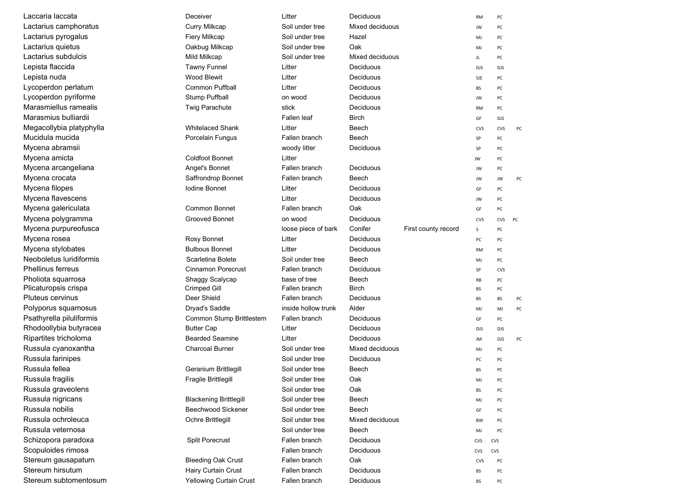| <sub>–</sub> accaria laccata | Deceiver                      | Litter              | Deciduous       |                     | <b>RM</b>  | PC         |    |
|------------------------------|-------------------------------|---------------------|-----------------|---------------------|------------|------------|----|
| Lactarius camphoratus        | <b>Curry Milkcap</b>          | Soil under tree     | Mixed deciduous |                     | JW         | PC         |    |
| Lactarius pyrogalus          | Fiery Milkcap                 | Soil under tree     | Hazel           |                     | MJ         | PC         |    |
| Lactarius quietus            | Oakbug Milkcap                | Soil under tree     | Oak             |                     | MJ         | PC         |    |
| Lactarius subdulcis          | Mild Milkcap                  | Soil under tree     | Mixed deciduous |                     | JL         | PC         |    |
| Lepista flaccida             | <b>Tawny Funnel</b>           | Litter              | Deciduous       |                     | <b>DJS</b> | <b>DJS</b> |    |
| Lepista nuda                 | <b>Wood Blewit</b>            | Litter              | Deciduous       |                     | SJE        | PC         |    |
| Lycoperdon perlatum          | <b>Common Puffball</b>        | Litter              | Deciduous       |                     | BS         | PC         |    |
| Lycoperdon pyriforme         | <b>Stump Puffball</b>         | on wood             | Deciduous       |                     | JW         | PC         |    |
| Marasmiellus ramealis        | <b>Twig Parachute</b>         | stick               | Deciduous       |                     | RM         | PC         |    |
| Marasmius bulliardii         |                               | Fallen leaf         | <b>Birch</b>    |                     | GF         | <b>DJS</b> |    |
| Megacollybia platyphylla     | <b>Whitelaced Shank</b>       | Litter              | Beech           |                     | CVS        | CVS        | PC |
| Mucidula mucida              | Porcelain Fungus              | Fallen branch       | Beech           |                     | SP         | PC         |    |
| Mycena abramsii              |                               | woody litter        | Deciduous       |                     | SP         | PC         |    |
| Mycena amicta                | <b>Coldfoot Bonnet</b>        | Litter              |                 |                     | JW         | PC         |    |
| Mycena arcangeliana          | Angel's Bonnet                | Fallen branch       | Deciduous       |                     | JW         | PC         |    |
| Mycena crocata               | Saffrondrop Bonnet            | Fallen branch       | Beech           |                     | JW         | JW         | PC |
| Mycena filopes               | Iodine Bonnet                 | Litter              | Deciduous       |                     | GF         | PC         |    |
| Mycena flavescens            |                               | Litter              | Deciduous       |                     | JW         | PC         |    |
| Mycena galericulata          | <b>Common Bonnet</b>          | Fallen branch       | Oak             |                     | GF         | PC         |    |
| Mycena polygramma            | <b>Grooved Bonnet</b>         | on wood             | Deciduous       |                     | CVS        | CVS        | PC |
| Mycena purpureofusca         |                               | loose piece of bark | Conifer         | First county record | $\sf S$    | PC         |    |
| Mycena rosea                 | Rosy Bonnet                   | Litter              | Deciduous       |                     | PC         | PC         |    |
| Mycena stylobates            | <b>Bulbous Bonnet</b>         | Litter              | Deciduous       |                     | <b>RM</b>  | PC         |    |
| Neoboletus Iuridiformis      | Scarletina Bolete             | Soil under tree     | Beech           |                     | MJ         | PC         |    |
| Phellinus ferreus            | <b>Cinnamon Porecrust</b>     | Fallen branch       | Deciduous       |                     | SP         | <b>CVS</b> |    |
| Pholiota squarrosa           | Shaggy Scalycap               | base of tree        | Beech           |                     | RB         | PC         |    |
| Plicaturopsis crispa         | Crimped Gill                  | Fallen branch       | <b>Birch</b>    |                     | <b>BS</b>  | PC         |    |
| Pluteus cervinus             | Deer Shield                   | Fallen branch       | Deciduous       |                     | BS         | <b>BS</b>  | PC |
| Polyporus squamosus          | Dryad's Saddle                | inside hollow trunk | Alder           |                     | MJ         | MJ         | PC |
| Psathyrella piluliformis     | Common Stump Brittlestem      | Fallen branch       | Deciduous       |                     | GF         | PC         |    |
| Rhodoollybia butyracea       | <b>Butter Cap</b>             | Litter              | Deciduous       |                     | <b>DJS</b> | <b>DJS</b> |    |
| Ripartites tricholoma        | <b>Bearded Seamine</b>        | Litter              | Deciduous       |                     | JM         | <b>DJS</b> | PC |
| Russula cyanoxantha          | <b>Charcoal Burner</b>        | Soil under tree     | Mixed deciduous |                     | MJ         | PC         |    |
| Russula farinipes            |                               | Soil under tree     | Deciduous       |                     | PC         | PC         |    |
| Russula fellea               | <b>Geranium Brittlegill</b>   | Soil under tree     | Beech           |                     | BS         | PC         |    |
| Russula fraɑilis             | Fragile Brittlegill           | Soil under tree     | Oak             |                     | MJ         | PC         |    |
| Russula graveolens           |                               | Soil under tree     | Oak             |                     | BS         | PC         |    |
| Russula nigricans            | <b>Blackening Brittlegill</b> | Soil under tree     | Beech           |                     | MJ         | PC         |    |
| Russula nobilis              | <b>Beechwood Sickener</b>     | Soil under tree     | Beech           |                     | GF         | PC         |    |
| Russula ochroleuca           | Ochre Brittlegill             | Soil under tree     | Mixed deciduous |                     | BW         | PC         |    |
| Russula veternosa            |                               | Soil under tree     | Beech           |                     | MJ         | PC         |    |
| Schizopora paradoxa          | <b>Split Porecrust</b>        | Fallen branch       | Deciduous       |                     | CVS        | CVS        |    |
| Scopuloides rimosa           |                               | Fallen branch       | Deciduous       |                     | CVS        | CVS        |    |
| Stereum gausapatum           | <b>Bleeding Oak Crust</b>     | Fallen branch       | Oak             |                     | CVS        | PC         |    |
| Stereum hirsutum             | Hairy Curtain Crust           | Fallen branch       | Deciduous       |                     | BS         | PC         |    |
| Stereum subtomentosum        | Yellowing Curtain Crust       | Fallen branch       | Deciduous       |                     | BS         | PC         |    |